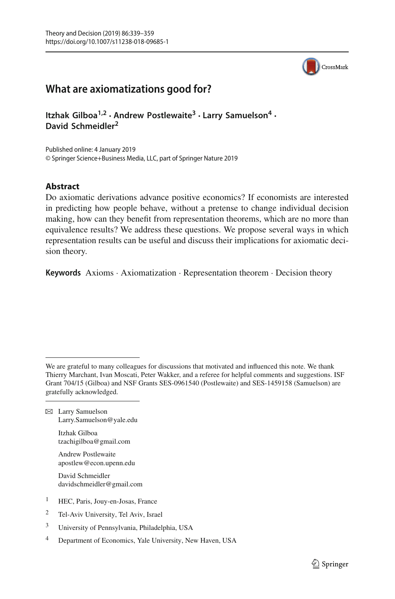

# **What are axiomatizations good for?**

**Itzhak Gilboa1,2 · Andrew Postlewaite<sup>3</sup> · Larry Samuelson4 · David Schmeidler2**

Published online: 4 January 2019 © Springer Science+Business Media, LLC, part of Springer Nature 2019

# **Abstract**

Do axiomatic derivations advance positive economics? If economists are interested in predicting how people behave, without a pretense to change individual decision making, how can they benefit from representation theorems, which are no more than equivalence results? We address these questions. We propose several ways in which representation results can be useful and discuss their implications for axiomatic decision theory.

**Keywords** Axioms · Axiomatization · Representation theorem · Decision theory

B Larry Samuelson Larry.Samuelson@yale.edu

> Itzhak Gilboa tzachigilboa@gmail.com

- Andrew Postlewaite apostlew@econ.upenn.edu
- David Schmeidler davidschmeidler@gmail.com
- <sup>1</sup> HEC, Paris, Jouy-en-Josas, France
- <sup>2</sup> Tel-Aviv University, Tel Aviv, Israel
- <sup>3</sup> University of Pennsylvania, Philadelphia, USA
- <sup>4</sup> Department of Economics, Yale University, New Haven, USA

We are grateful to many colleagues for discussions that motivated and influenced this note. We thank Thierry Marchant, Ivan Moscati, Peter Wakker, and a referee for helpful comments and suggestions. ISF Grant 704/15 (Gilboa) and NSF Grants SES-0961540 (Postlewaite) and SES-1459158 (Samuelson) are gratefully acknowledged.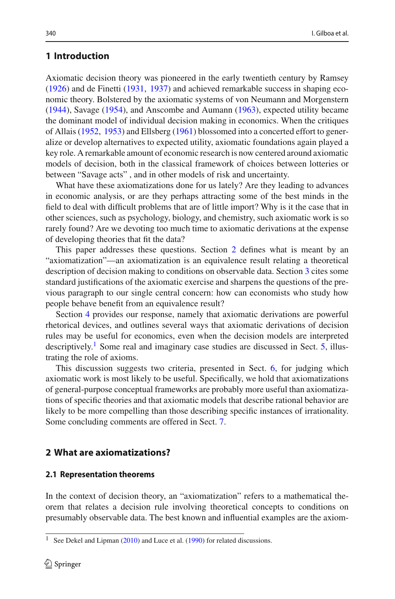# **1 Introduction**

Axiomatic decision theory was pioneered in the early twentieth century by Ramse[y](#page-19-0) [\(1926\)](#page-19-0) and de Finett[i](#page-18-0) [\(1931,](#page-18-0) [1937\)](#page-18-1) and achieved remarkable success in shaping economic theory. Bolstered by the axiomatic systems of von Neumann and Morgenster[n](#page-20-0) [\(1944\)](#page-20-0), Savag[e](#page-19-1) [\(1954\)](#page-19-1), and Anscombe and Auman[n](#page-18-2) [\(1963\)](#page-18-2), expected utility became the dominant model of individual decision making in economics. When the critiques of Allai[s](#page-18-3) [\(1952,](#page-18-3) [1953\)](#page-18-4) and Ellsber[g](#page-19-2) [\(1961](#page-19-2)) blossomed into a concerted effort to generalize or develop alternatives to expected utility, axiomatic foundations again played a key role. A remarkable amount of economic research is now centered around axiomatic models of decision, both in the classical framework of choices between lotteries or between "Savage acts" , and in other models of risk and uncertainty.

What have these axiomatizations done for us lately? Are they leading to advances in economic analysis, or are they perhaps attracting some of the best minds in the field to deal with difficult problems that are of little import? Why is it the case that in other sciences, such as psychology, biology, and chemistry, such axiomatic work is so rarely found? Are we devoting too much time to axiomatic derivations at the expense of developing theories that fit the data?

This paper addresses these questions. Section [2](#page-1-0) defines what is meant by an "axiomatization"—an axiomatization is an equivalence result relating a theoretical description of decision making to conditions on observable data. Section [3](#page-4-0) cites some standard justifications of the axiomatic exercise and sharpens the questions of the previous paragraph to our single central concern: how can economists who study how people behave benefit from an equivalence result?

Section [4](#page-6-0) provides our response, namely that axiomatic derivations are powerful rhetorical devices, and outlines several ways that axiomatic derivations of decision rules may be useful for economics, even when the decision models are interpreted descriptively.<sup>1</sup> Some real and imaginary case studies are discussed in Sect. [5,](#page-8-0) illustrating the role of axioms.

This discussion suggests two criteria, presented in Sect. [6,](#page-11-0) for judging which axiomatic work is most likely to be useful. Specifically, we hold that axiomatizations of general-purpose conceptual frameworks are probably more useful than axiomatizations of specific theories and that axiomatic models that describe rational behavior are likely to be more compelling than those describing specific instances of irrationality. Some concluding comments are offered in Sect. [7.](#page-16-0)

### <span id="page-1-0"></span>**2 What are axiomatizations?**

### **2.1 Representation theorems**

In the context of decision theory, an "axiomatization" refers to a mathematical theorem that relates a decision rule involving theoretical concepts to conditions on presumably observable data. The best known and influential examples are the axiom-

<span id="page-1-1"></span>See Dekel a[n](#page-19-3)d Lipman [\(2010](#page-19-3)) and Luce et al[.](#page-19-4) [\(1990](#page-19-4)) for related discussions.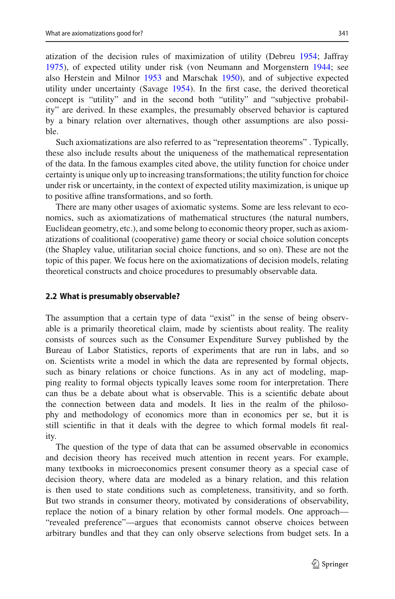atization of the decision rules of maximization of utility (Debre[u](#page-18-5) [1954](#page-18-5); Jaffra[y](#page-19-5) [1975\)](#page-19-5), of expected utility under risk (von Neumann and Morgenster[n](#page-20-0) [1944](#page-20-0); see also Herstein and Milno[r](#page-19-6) [1953](#page-19-6) and Marscha[k](#page-19-7) [1950\)](#page-19-7), and of subjective expected utility under uncertainty (Savag[e](#page-19-1) [1954\)](#page-19-1). In the first case, the derived theoretical concept is "utility" and in the second both "utility" and "subjective probability" are derived. In these examples, the presumably observed behavior is captured by a binary relation over alternatives, though other assumptions are also possible.

Such axiomatizations are also referred to as "representation theorems" . Typically, these also include results about the uniqueness of the mathematical representation of the data. In the famous examples cited above, the utility function for choice under certainty is unique only up to increasing transformations; the utility function for choice under risk or uncertainty, in the context of expected utility maximization, is unique up to positive affine transformations, and so forth.

There are many other usages of axiomatic systems. Some are less relevant to economics, such as axiomatizations of mathematical structures (the natural numbers, Euclidean geometry, etc.), and some belong to economic theory proper, such as axiomatizations of coalitional (cooperative) game theory or social choice solution concepts (the Shapley value, utilitarian social choice functions, and so on). These are not the topic of this paper. We focus here on the axiomatizations of decision models, relating theoretical constructs and choice procedures to presumably observable data.

### <span id="page-2-0"></span>**2.2 What is presumably observable?**

The assumption that a certain type of data "exist" in the sense of being observable is a primarily theoretical claim, made by scientists about reality. The reality consists of sources such as the Consumer Expenditure Survey published by the Bureau of Labor Statistics, reports of experiments that are run in labs, and so on. Scientists write a model in which the data are represented by formal objects, such as binary relations or choice functions. As in any act of modeling, mapping reality to formal objects typically leaves some room for interpretation. There can thus be a debate about what is observable. This is a scientific debate about the connection between data and models. It lies in the realm of the philosophy and methodology of economics more than in economics per se, but it is still scientific in that it deals with the degree to which formal models fit reality.

The question of the type of data that can be assumed observable in economics and decision theory has received much attention in recent years. For example, many textbooks in microeconomics present consumer theory as a special case of decision theory, where data are modeled as a binary relation, and this relation is then used to state conditions such as completeness, transitivity, and so forth. But two strands in consumer theory, motivated by considerations of observability, replace the notion of a binary relation by other formal models. One approach— "revealed preference"—argues that economists cannot observe choices between arbitrary bundles and that they can only observe selections from budget sets. In a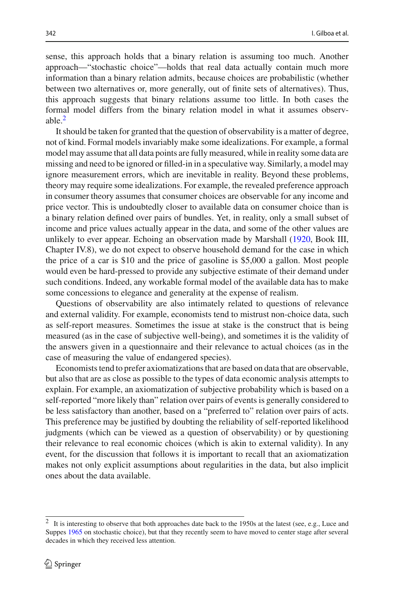sense, this approach holds that a binary relation is assuming too much. Another approach—"stochastic choice"—holds that real data actually contain much more information than a binary relation admits, because choices are probabilistic (whether between two alternatives or, more generally, out of finite sets of alternatives). Thus, this approach suggests that binary relations assume too little. In both cases the formal model differs from the binary relation model in what it assumes observable.[2](#page-3-0)

It should be taken for granted that the question of observability is a matter of degree, not of kind. Formal models invariably make some idealizations. For example, a formal model may assume that all data points are fully measured, while in reality some data are missing and need to be ignored or filled-in in a speculative way. Similarly, a model may ignore measurement errors, which are inevitable in reality. Beyond these problems, theory may require some idealizations. For example, the revealed preference approach in consumer theory assumes that consumer choices are observable for any income and price vector. This is undoubtedly closer to available data on consumer choice than is a binary relation defined over pairs of bundles. Yet, in reality, only a small subset of income and price values actually appear in the data, and some of the other values are unlikely to ever appear. Echoing an observation made by Marshall [\(1920](#page-19-8), Book III, Chapter IV.8), we do not expect to observe household demand for the case in which the price of a car is \$10 and the price of gasoline is \$5,000 a gallon. Most people would even be hard-pressed to provide any subjective estimate of their demand under such conditions. Indeed, any workable formal model of the available data has to make some concessions to elegance and generality at the expense of realism.

Questions of observability are also intimately related to questions of relevance and external validity. For example, economists tend to mistrust non-choice data, such as self-report measures. Sometimes the issue at stake is the construct that is being measured (as in the case of subjective well-being), and sometimes it is the validity of the answers given in a questionnaire and their relevance to actual choices (as in the case of measuring the value of endangered species).

Economists tend to prefer axiomatizations that are based on data that are observable, but also that are as close as possible to the types of data economic analysis attempts to explain. For example, an axiomatization of subjective probability which is based on a self-reported "more likely than" relation over pairs of events is generally considered to be less satisfactory than another, based on a "preferred to" relation over pairs of acts. This preference may be justified by doubting the reliability of self-reported likelihood judgments (which can be viewed as a question of observability) or by questioning their relevance to real economic choices (which is akin to external validity). In any event, for the discussion that follows it is important to recall that an axiomatization makes not only explicit assumptions about regularities in the data, but also implicit ones about the data available.

<span id="page-3-0"></span><sup>2</sup> It is interesting to observe that both approaches date back to the 1950s at the latest (see, e.g., Luce and Suppe[s](#page-19-9) [1965](#page-19-9) on stochastic choice), but that they recently seem to have moved to center stage after several decades in which they received less attention.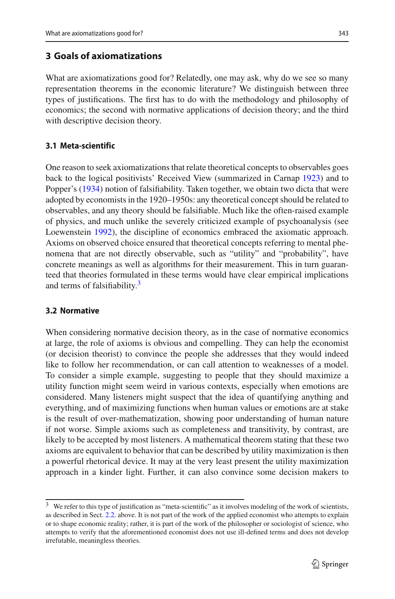### <span id="page-4-0"></span>**3 Goals of axiomatizations**

What are axiomatizations good for? Relatedly, one may ask, why do we see so many representation theorems in the economic literature? We distinguish between three types of justifications. The first has to do with the methodology and philosophy of economics; the second with normative applications of decision theory; and the third with descriptive decision theory.

### **3.1 Meta-scientific**

One reason to seek axiomatizations that relate theoretical concepts to observables goes back to the logical positivists' Received View (summarized in Carna[p](#page-18-6) [1923](#page-18-6)) and to Popper's [\(1934](#page-19-10)) notion of falsifiability. Taken together, we obtain two dicta that were adopted by economists in the 1920–1950s: any theoretical concept should be related to observables, and any theory should be falsifiable. Much like the often-raised example of physics, and much unlike the severely criticized example of psychoanalysis (see Loewenstei[n](#page-19-11) [1992\)](#page-19-11), the discipline of economics embraced the axiomatic approach. Axioms on observed choice ensured that theoretical concepts referring to mental phenomena that are not directly observable, such as "utility" and "probability", have concrete meanings as well as algorithms for their measurement. This in turn guaranteed that theories formulated in these terms would have clear empirical implications and terms of falsifiability.<sup>[3](#page-4-1)</sup>

### **3.2 Normative**

When considering normative decision theory, as in the case of normative economics at large, the role of axioms is obvious and compelling. They can help the economist (or decision theorist) to convince the people she addresses that they would indeed like to follow her recommendation, or can call attention to weaknesses of a model. To consider a simple example, suggesting to people that they should maximize a utility function might seem weird in various contexts, especially when emotions are considered. Many listeners might suspect that the idea of quantifying anything and everything, and of maximizing functions when human values or emotions are at stake is the result of over-mathematization, showing poor understanding of human nature if not worse. Simple axioms such as completeness and transitivity, by contrast, are likely to be accepted by most listeners. A mathematical theorem stating that these two axioms are equivalent to behavior that can be described by utility maximization is then a powerful rhetorical device. It may at the very least present the utility maximization approach in a kinder light. Further, it can also convince some decision makers to

<span id="page-4-1"></span><sup>&</sup>lt;sup>3</sup> We refer to this type of justification as "meta-scientific" as it involves modeling of the work of scientists, as described in Sect. [2.2.](#page-2-0) above. It is not part of the work of the applied economist who attempts to explain or to shape economic reality; rather, it is part of the work of the philosopher or sociologist of science, who attempts to verify that the aforementioned economist does not use ill-defined terms and does not develop irrefutable, meaningless theories.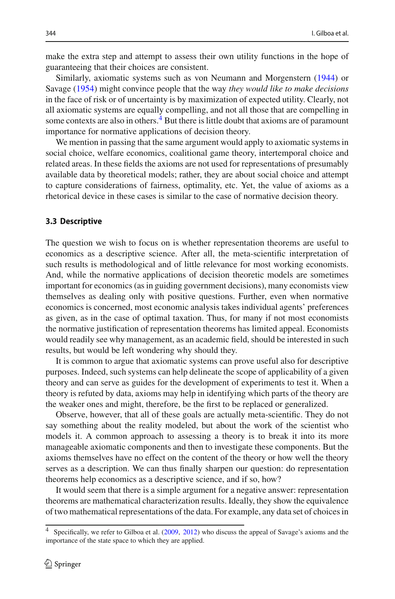make the extra step and attempt to assess their own utility functions in the hope of guaranteeing that their choices are consistent.

Similarly, axiomatic systems such as von Neumann and Morgenster[n](#page-20-0) [\(1944\)](#page-20-0) or Savag[e](#page-19-1) [\(1954\)](#page-19-1) might convince people that the way *they would like to make decisions* in the face of risk or of uncertainty is by maximization of expected utility. Clearly, not all axiomatic systems are equally compelling, and not all those that are compelling in some contexts are also in others. $4$  But there is little doubt that axioms are of paramount importance for normative applications of decision theory.

We mention in passing that the same argument would apply to axiomatic systems in social choice, welfare economics, coalitional game theory, intertemporal choice and related areas. In these fields the axioms are not used for representations of presumably available data by theoretical models; rather, they are about social choice and attempt to capture considerations of fairness, optimality, etc. Yet, the value of axioms as a rhetorical device in these cases is similar to the case of normative decision theory.

### **3.3 Descriptive**

The question we wish to focus on is whether representation theorems are useful to economics as a descriptive science. After all, the meta-scientific interpretation of such results is methodological and of little relevance for most working economists. And, while the normative applications of decision theoretic models are sometimes important for economics (as in guiding government decisions), many economists view themselves as dealing only with positive questions. Further, even when normative economics is concerned, most economic analysis takes individual agents' preferences as given, as in the case of optimal taxation. Thus, for many if not most economists the normative justification of representation theorems has limited appeal. Economists would readily see why management, as an academic field, should be interested in such results, but would be left wondering why should they.

It is common to argue that axiomatic systems can prove useful also for descriptive purposes. Indeed, such systems can help delineate the scope of applicability of a given theory and can serve as guides for the development of experiments to test it. When a theory is refuted by data, axioms may help in identifying which parts of the theory are the weaker ones and might, therefore, be the first to be replaced or generalized.

Observe, however, that all of these goals are actually meta-scientific. They do not say something about the reality modeled, but about the work of the scientist who models it. A common approach to assessing a theory is to break it into its more manageable axiomatic components and then to investigate these components. But the axioms themselves have no effect on the content of the theory or how well the theory serves as a description. We can thus finally sharpen our question: do representation theorems help economics as a descriptive science, and if so, how?

It would seem that there is a simple argument for a negative answer: representation theorems are mathematical characterization results. Ideally, they show the equivalence of two mathematical representations of the data. For example, any data set of choices in

<span id="page-5-0"></span><sup>4</sup> Specifically, we refer to Gilboa et al[.](#page-19-12) [\(2009,](#page-19-12) [2012\)](#page-19-13) who discuss the appeal of Savage's axioms and the importance of the state space to which they are applied.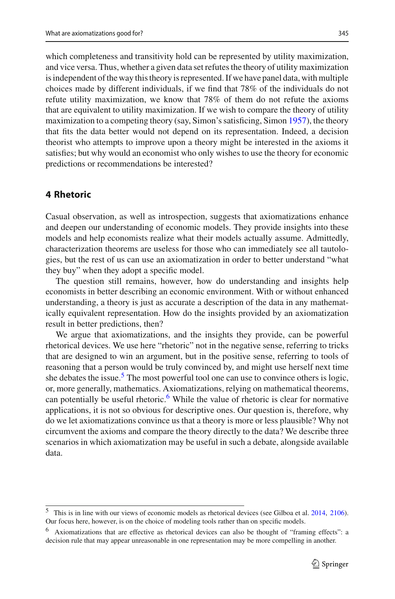which completeness and transitivity hold can be represented by utility maximization, and vice versa. Thus, whether a given data set refutes the theory of utility maximization is independent of the way this theory is represented. If we have panel data, with multiple choices made by different individuals, if we find that 78% of the individuals do not refute utility maximization, we know that 78% of them do not refute the axioms that are equivalent to utility maximization. If we wish to compare the theory of utility maximization to a competing theory (say, Simon's satisficing, Simo[n](#page-20-1) [1957](#page-20-1)), the theory that fits the data better would not depend on its representation. Indeed, a decision theorist who attempts to improve upon a theory might be interested in the axioms it satisfies; but why would an economist who only wishes to use the theory for economic predictions or recommendations be interested?

# <span id="page-6-0"></span>**4 Rhetoric**

Casual observation, as well as introspection, suggests that axiomatizations enhance and deepen our understanding of economic models. They provide insights into these models and help economists realize what their models actually assume. Admittedly, characterization theorems are useless for those who can immediately see all tautologies, but the rest of us can use an axiomatization in order to better understand "what they buy" when they adopt a specific model.

The question still remains, however, how do understanding and insights help economists in better describing an economic environment. With or without enhanced understanding, a theory is just as accurate a description of the data in any mathematically equivalent representation. How do the insights provided by an axiomatization result in better predictions, then?

We argue that axiomatizations, and the insights they provide, can be powerful rhetorical devices. We use here "rhetoric" not in the negative sense, referring to tricks that are designed to win an argument, but in the positive sense, referring to tools of reasoning that a person would be truly convinced by, and might use herself next time she debates the issue.<sup>[5](#page-6-1)</sup> The most powerful tool one can use to convince others is logic, or, more generally, mathematics. Axiomatizations, relying on mathematical theorems, can potentially be useful rhetoric.<sup>6</sup> While the value of rhetoric is clear for normative applications, it is not so obvious for descriptive ones. Our question is, therefore, why do we let axiomatizations convince us that a theory is more or less plausible? Why not circumvent the axioms and compare the theory directly to the data? We describe three scenarios in which axiomatization may be useful in such a debate, alongside available data.

<span id="page-6-1"></span><sup>5</sup> This is in line with our views of economic models as rhetorical devices (see Gilboa et al[.](#page-19-14) [2014](#page-19-14), [2106](#page-19-15)). Our focus here, however, is on the choice of modeling tools rather than on specific models.

<span id="page-6-2"></span><sup>6</sup> Axiomatizations that are effective as rhetorical devices can also be thought of "framing effects": a decision rule that may appear unreasonable in one representation may be more compelling in another.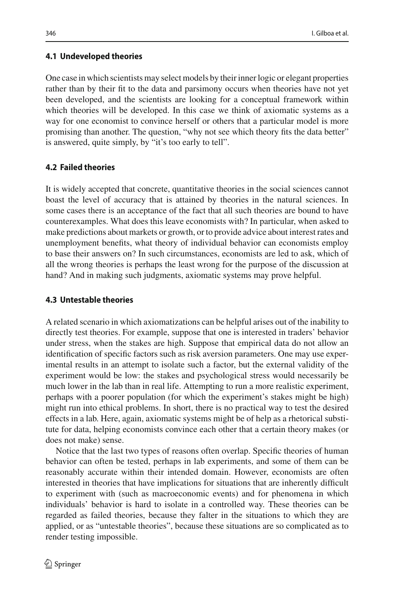### **4.1 Undeveloped theories**

One case in which scientists may select models by their inner logic or elegant properties rather than by their fit to the data and parsimony occurs when theories have not yet been developed, and the scientists are looking for a conceptual framework within which theories will be developed. In this case we think of axiomatic systems as a way for one economist to convince herself or others that a particular model is more promising than another. The question, "why not see which theory fits the data better" is answered, quite simply, by "it's too early to tell".

# **4.2 Failed theories**

It is widely accepted that concrete, quantitative theories in the social sciences cannot boast the level of accuracy that is attained by theories in the natural sciences. In some cases there is an acceptance of the fact that all such theories are bound to have counterexamples. What does this leave economists with? In particular, when asked to make predictions about markets or growth, or to provide advice about interest rates and unemployment benefits, what theory of individual behavior can economists employ to base their answers on? In such circumstances, economists are led to ask, which of all the wrong theories is perhaps the least wrong for the purpose of the discussion at hand? And in making such judgments, axiomatic systems may prove helpful.

# **4.3 Untestable theories**

A related scenario in which axiomatizations can be helpful arises out of the inability to directly test theories. For example, suppose that one is interested in traders' behavior under stress, when the stakes are high. Suppose that empirical data do not allow an identification of specific factors such as risk aversion parameters. One may use experimental results in an attempt to isolate such a factor, but the external validity of the experiment would be low: the stakes and psychological stress would necessarily be much lower in the lab than in real life. Attempting to run a more realistic experiment, perhaps with a poorer population (for which the experiment's stakes might be high) might run into ethical problems. In short, there is no practical way to test the desired effects in a lab. Here, again, axiomatic systems might be of help as a rhetorical substitute for data, helping economists convince each other that a certain theory makes (or does not make) sense.

Notice that the last two types of reasons often overlap. Specific theories of human behavior can often be tested, perhaps in lab experiments, and some of them can be reasonably accurate within their intended domain. However, economists are often interested in theories that have implications for situations that are inherently difficult to experiment with (such as macroeconomic events) and for phenomena in which individuals' behavior is hard to isolate in a controlled way. These theories can be regarded as failed theories, because they falter in the situations to which they are applied, or as "untestable theories", because these situations are so complicated as to render testing impossible.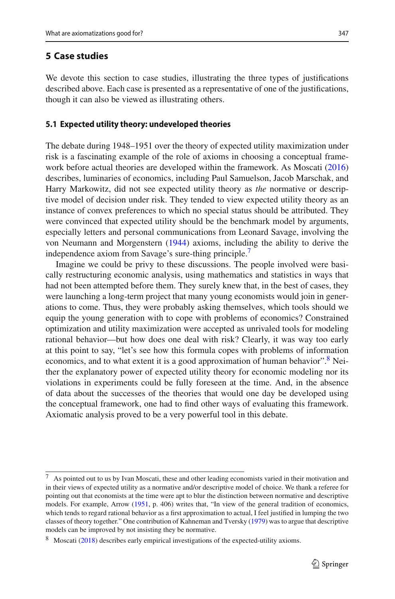# <span id="page-8-0"></span>**5 Case studies**

We devote this section to case studies, illustrating the three types of justifications described above. Each case is presented as a representative of one of the justifications, though it can also be viewed as illustrating others.

### **5.1 Expected utility theory: undeveloped theories**

The debate during 1948–1951 over the theory of expected utility maximization under risk is a fascinating example of the role of axioms in choosing a conceptual framework before actual theories are developed within the framework. As Moscat[i](#page-19-16) [\(2016\)](#page-19-16) describes, luminaries of economics, including Paul Samuelson, Jacob Marschak, and Harry Markowitz, did not see expected utility theory as *the* normative or descriptive model of decision under risk. They tended to view expected utility theory as an instance of convex preferences to which no special status should be attributed. They were convinced that expected utility should be the benchmark model by arguments, especially letters and personal communications from Leonard Savage, involving the von Neumann and Morgenster[n](#page-20-0) [\(1944\)](#page-20-0) axioms, including the ability to derive the independence axiom from Savage's sure-thing principle.<sup>7</sup>

Imagine we could be privy to these discussions. The people involved were basically restructuring economic analysis, using mathematics and statistics in ways that had not been attempted before them. They surely knew that, in the best of cases, they were launching a long-term project that many young economists would join in generations to come. Thus, they were probably asking themselves, which tools should we equip the young generation with to cope with problems of economics? Constrained optimization and utility maximization were accepted as unrivaled tools for modeling rational behavior—but how does one deal with risk? Clearly, it was way too early at this point to say, "let's see how this formula copes with problems of information economics, and to what extent it is a good approximation of human behavior".<sup>8</sup> Neither the explanatory power of expected utility theory for economic modeling nor its violations in experiments could be fully foreseen at the time. And, in the absence of data about the successes of the theories that would one day be developed using the conceptual framework, one had to find other ways of evaluating this framework. Axiomatic analysis proved to be a very powerful tool in this debate.

<span id="page-8-1"></span>As pointed out to us by Ivan Moscati, these and other leading economists varied in their motivation and in their views of expected utility as a normative and/or descriptive model of choice. We thank a referee for pointing out that economists at the time were apt to blur the distinction between normative and descriptive models. For example, Arrow [\(1951](#page-18-7), p. 406) writes that, "In view of the general tradition of economics, which tends to regard rational behavior as a first approximation to actual, I feel justified in lumping the two classes of theory together." One contribution of Kahneman and Tversk[y](#page-19-17) [\(1979](#page-19-17)) was to argue that descriptive models can be improved by not insisting they be normative.

<span id="page-8-2"></span><sup>&</sup>lt;sup>8</sup> Moscat[i](#page-19-18) [\(2018\)](#page-19-18) describes early empirical investigations of the expected-utility axioms.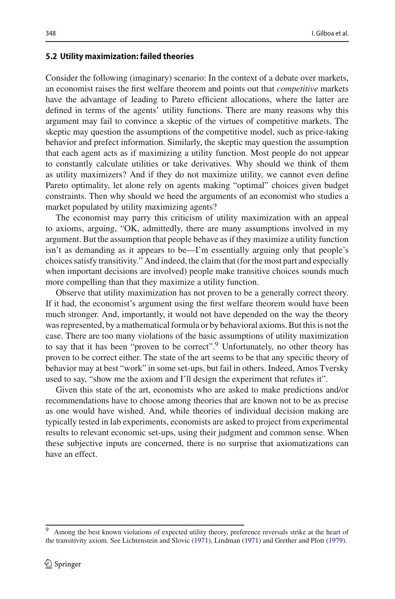#### **5.2 Utility maximization: failed theories**

Consider the following (imaginary) scenario: In the context of a debate over markets, an economist raises the first welfare theorem and points out that *competitive* markets have the advantage of leading to Pareto efficient allocations, where the latter are defined in terms of the agents' utility functions. There are many reasons why this argument may fail to convince a skeptic of the virtues of competitive markets. The skeptic may question the assumptions of the competitive model, such as price-taking behavior and prefect information. Similarly, the skeptic may question the assumption that each agent acts as if maximizing a utility function. Most people do not appear to constantly calculate utilities or take derivatives. Why should we think of them as utility maximizers? And if they do not maximize utility, we cannot even define Pareto optimality, let alone rely on agents making "optimal" choices given budget constraints. Then why should we heed the arguments of an economist who studies a market populated by utility maximizing agents?

The economist may parry this criticism of utility maximization with an appeal to axioms, arguing, "OK, admittedly, there are many assumptions involved in my argument. But the assumption that people behave as if they maximize a utility function isn't as demanding as it appears to be—I'm essentially arguing only that people's choices satisfy transitivity." And indeed, the claim that (for the most part and especially when important decisions are involved) people make transitive choices sounds much more compelling than that they maximize a utility function.

Observe that utility maximization has not proven to be a generally correct theory. If it had, the economist's argument using the first welfare theorem would have been much stronger. And, importantly, it would not have depended on the way the theory was represented, by a mathematical formula or by behavioral axioms. But this is not the case. There are too many violations of the basic assumptions of utility maximization to say that it has been "proven to be correct".<sup>[9](#page-9-0)</sup> Unfortunately, no other theory has proven to be correct either. The state of the art seems to be that any specific theory of behavior may at best "work" in some set-ups, but fail in others. Indeed, Amos Tversky used to say, "show me the axiom and I'll design the experiment that refutes it".

Given this state of the art, economists who are asked to make predictions and/or recommendations have to choose among theories that are known not to be as precise as one would have wished. And, while theories of individual decision making are typically tested in lab experiments, economists are asked to project from experimental results to relevant economic set-ups, using their judgment and common sense. When these subjective inputs are concerned, there is no surprise that axiomatizations can have an effect.

<span id="page-9-0"></span>Among the best known violations of expected utility theory, preference reversals strike at the heart of the transitivity axiom. See Lichtenstein and Slovi[c](#page-19-19) [\(1971\)](#page-19-19), Lindma[n](#page-19-20) [\(1971\)](#page-19-20) and Grether and Plot[t](#page-19-21) [\(1979\)](#page-19-21).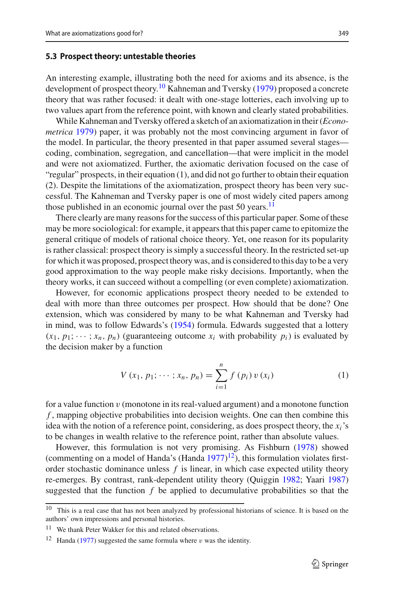#### **5.3 Prospect theory: untestable theories**

An interesting example, illustrating both the need for axioms and its absence, is the development of prospect theory.<sup>[10](#page-10-0)</sup> Kahneman and Tversk[y](#page-19-17) [\(1979\)](#page-19-17) proposed a concrete theory that was rather focused: it dealt with one-stage lotteries, each involving up to two values apart from the reference point, with known and clearly stated probabilities.

While Kahneman and Tversky offered a sketch of an axiomatization in their (*Econometrica* [1979](#page-19-17)) paper, it was probably not the most convincing argument in favor of the model. In particular, the theory presented in that paper assumed several stages coding, combination, segregation, and cancellation—that were implicit in the model and were not axiomatized. Further, the axiomatic derivation focused on the case of "regular" prospects, in their equation  $(1)$ , and did not go further to obtain their equation (2). Despite the limitations of the axiomatization, prospect theory has been very successful. The Kahneman and Tversky paper is one of most widely cited papers among those published in an economic journal over the past  $50$  years.<sup>[11](#page-10-1)</sup>

There clearly are many reasons for the success of this particular paper. Some of these may be more sociological: for example, it appears that this paper came to epitomize the general critique of models of rational choice theory. Yet, one reason for its popularity is rather classical: prospect theory is simply a successful theory. In the restricted set-up for which it was proposed, prospect theory was, and is considered to this day to be a very good approximation to the way people make risky decisions. Importantly, when the theory works, it can succeed without a compelling (or even complete) axiomatization.

However, for economic applications prospect theory needed to be extended to deal with more than three outcomes per prospect. How should that be done? One extension, which was considered by many to be what Kahneman and Tversky had in mind, was to follow Edwards's [\(1954](#page-19-22)) formula. Edwards suggested that a lottery  $(x_1, p_1; \dots; x_n, p_n)$  (guaranteeing outcome  $x_i$  with probability  $p_i$ ) is evaluated by the decision maker by a function

<span id="page-10-3"></span>
$$
V(x_1, p_1; \dots; x_n, p_n) = \sum_{i=1}^n f(p_i) v(x_i)
$$
 (1)

for a value function v (monotone in its real-valued argument) and a monotone function *f* , mapping objective probabilities into decision weights. One can then combine this idea with the notion of a reference point, considering, as does prospect theory, the  $x_i$ 's to be changes in wealth relative to the reference point, rather than absolute values.

However, this formulation is not very promising. As Fishbur[n](#page-19-23) [\(1978](#page-19-23)) showed (commenting on [a](#page-19-24) model of Handa's (Handa  $1977$ )<sup>[12](#page-10-2)</sup>), this formulation violates firstorder stochastic dominance unless *f* is linear, in which case expected utility theory re-emerges. By contrast, rank-dependent utility theory (Quiggi[n](#page-19-25) [1982](#page-19-25); Yaar[i](#page-20-2) [1987\)](#page-20-2) suggested that the function *f* be applied to decumulative probabilities so that the

<span id="page-10-0"></span><sup>10</sup> This is a real case that has not been analyzed by professional historians of science. It is based on the authors' own impressions and personal histories.

<sup>&</sup>lt;sup>11</sup> We thank Peter Wakker for this and related observations.

<span id="page-10-2"></span><span id="page-10-1"></span><sup>&</sup>lt;sup>12</sup> H[a](#page-19-24)nda [\(1977\)](#page-19-24) suggested the same formula where v was the identity.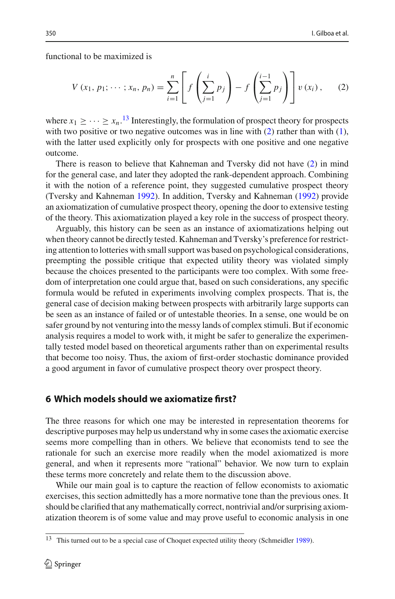functional to be maximized is

<span id="page-11-2"></span>
$$
V(x_1, p_1; \dots; x_n, p_n) = \sum_{i=1}^n \left[ f\left(\sum_{j=1}^i p_j\right) - f\left(\sum_{j=1}^{i-1} p_j\right) \right] v(x_i), \quad (2)
$$

where  $x_1 \geq \cdots \geq x_n$ .<sup>[13](#page-11-1)</sup> Interestingly, the formulation of prospect theory for prospects with two positive or two negative outcomes was in line with  $(2)$  rather than with  $(1)$ , with the latter used explicitly only for prospects with one positive and one negative outcome.

There is reason to believe that Kahneman and Tversky did not have [\(2\)](#page-11-2) in mind for the general case, and later they adopted the rank-dependent approach. Combining it with the notion of a reference point, they suggested cumulative prospect theory (Tversky and Kahnema[n](#page-20-3) [1992](#page-20-3)). In addition, Tversky and Kahnema[n](#page-20-3) [\(1992\)](#page-20-3) provide an axiomatization of cumulative prospect theory, opening the door to extensive testing of the theory. This axiomatization played a key role in the success of prospect theory.

Arguably, this history can be seen as an instance of axiomatizations helping out when theory cannot be directly tested. Kahneman and Tversky's preference for restricting attention to lotteries with small support was based on psychological considerations, preempting the possible critique that expected utility theory was violated simply because the choices presented to the participants were too complex. With some freedom of interpretation one could argue that, based on such considerations, any specific formula would be refuted in experiments involving complex prospects. That is, the general case of decision making between prospects with arbitrarily large supports can be seen as an instance of failed or of untestable theories. In a sense, one would be on safer ground by not venturing into the messy lands of complex stimuli. But if economic analysis requires a model to work with, it might be safer to generalize the experimentally tested model based on theoretical arguments rather than on experimental results that become too noisy. Thus, the axiom of first-order stochastic dominance provided a good argument in favor of cumulative prospect theory over prospect theory.

### <span id="page-11-0"></span>**6 Which models should we axiomatize first?**

The three reasons for which one may be interested in representation theorems for descriptive purposes may help us understand why in some cases the axiomatic exercise seems more compelling than in others. We believe that economists tend to see the rationale for such an exercise more readily when the model axiomatized is more general, and when it represents more "rational" behavior. We now turn to explain these terms more concretely and relate them to the discussion above.

While our main goal is to capture the reaction of fellow economists to axiomatic exercises, this section admittedly has a more normative tone than the previous ones. It should be clarified that any mathematically correct, nontrivial and/or surprising axiomatization theorem is of some value and may prove useful to economic analysis in one

<span id="page-11-1"></span>This tu[r](#page-20-4)ned out to be a special case of Choquet expected utility theory (Schmeidler [1989](#page-20-4)).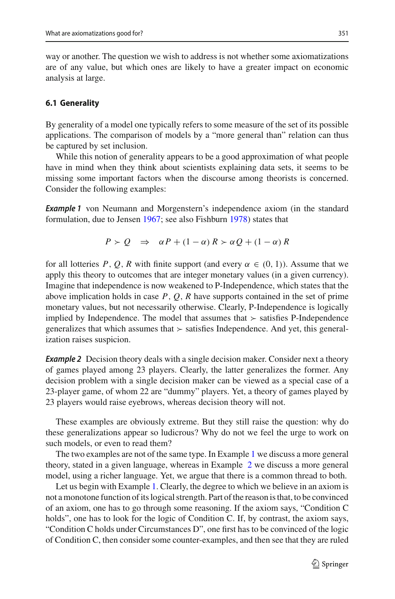way or another. The question we wish to address is not whether some axiomatizations are of any value, but which ones are likely to have a greater impact on economic analysis at large.

#### **6.1 Generality**

By generality of a model one typically refers to some measure of the set of its possible applications. The comparison of models by a "more general than" relation can thus be captured by set inclusion.

While this notion of generality appears to be a good approximation of what people have in mind when they think about scientists explaining data sets, it seems to be missing some important factors when the discourse among theorists is concerned. Consider the following examples:

<span id="page-12-0"></span>*Example 1* von Neumann and Morgenstern's independence axiom (in the standard formulation, due to Jense[n](#page-19-26) [1967;](#page-19-26) see also Fishbur[n](#page-19-23) [1978](#page-19-23)) states that

$$
P > Q \Rightarrow \alpha P + (1 - \alpha) R > \alpha Q + (1 - \alpha) R
$$

for all lotteries *P*, *Q*, *R* with finite support (and every  $\alpha \in (0, 1)$ ). Assume that we apply this theory to outcomes that are integer monetary values (in a given currency). Imagine that independence is now weakened to P-Independence, which states that the above implication holds in case *P*, *Q*, *R* have supports contained in the set of prime monetary values, but not necessarily otherwise. Clearly, P-Independence is logically implied by Independence. The model that assumes that  $\geq$  satisfies P-Independence generalizes that which assumes that  $\succ$  satisfies Independence. And yet, this generalization raises suspicion.

<span id="page-12-1"></span>**Example 2** Decision theory deals with a single decision maker. Consider next a theory of games played among 23 players. Clearly, the latter generalizes the former. Any decision problem with a single decision maker can be viewed as a special case of a 23-player game, of whom 22 are "dummy" players. Yet, a theory of games played by 23 players would raise eyebrows, whereas decision theory will not.

These examples are obviously extreme. But they still raise the question: why do these generalizations appear so ludicrous? Why do not we feel the urge to work on such models, or even to read them?

The two examples are not of the same type. In Example [1](#page-12-0) we discuss a more general theory, stated in a given language, whereas in Example [2](#page-12-1) we discuss a more general model, using a richer language. Yet, we argue that there is a common thread to both.

Let us begin with Example [1.](#page-12-0) Clearly, the degree to which we believe in an axiom is not a monotone function of its logical strength. Part of the reason is that, to be convinced of an axiom, one has to go through some reasoning. If the axiom says, "Condition C holds", one has to look for the logic of Condition C. If, by contrast, the axiom says, "Condition C holds under Circumstances D", one first has to be convinced of the logic of Condition C, then consider some counter-examples, and then see that they are ruled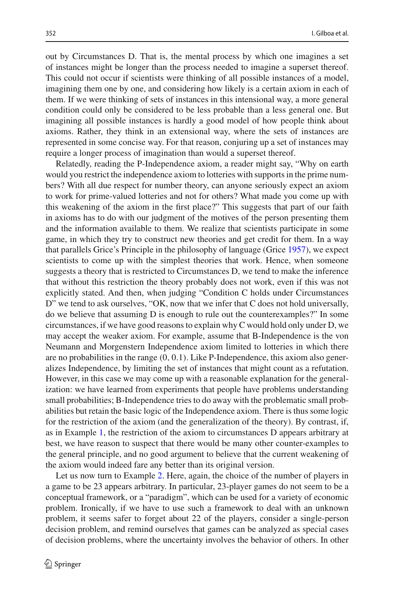out by Circumstances D. That is, the mental process by which one imagines a set of instances might be longer than the process needed to imagine a superset thereof. This could not occur if scientists were thinking of all possible instances of a model, imagining them one by one, and considering how likely is a certain axiom in each of them. If we were thinking of sets of instances in this intensional way, a more general condition could only be considered to be less probable than a less general one. But imagining all possible instances is hardly a good model of how people think about axioms. Rather, they think in an extensional way, where the sets of instances are represented in some concise way. For that reason, conjuring up a set of instances may require a longer process of imagination than would a superset thereof.

Relatedly, reading the P-Independence axiom, a reader might say, "Why on earth would you restrict the independence axiom to lotteries with supports in the prime numbers? With all due respect for number theory, can anyone seriously expect an axiom to work for prime-valued lotteries and not for others? What made you come up with this weakening of the axiom in the first place?" This suggests that part of our faith in axioms has to do with our judgment of the motives of the person presenting them and the information available to them. We realize that scientists participate in some game, in which they try to construct new theories and get credit for them. In a way that parallels Grice's Principle in the philosophy of language (Gric[e](#page-19-27) [1957](#page-19-27)), we expect scientists to come up with the simplest theories that work. Hence, when someone suggests a theory that is restricted to Circumstances D, we tend to make the inference that without this restriction the theory probably does not work, even if this was not explicitly stated. And then, when judging "Condition C holds under Circumstances D" we tend to ask ourselves, "OK, now that we infer that C does not hold universally, do we believe that assuming  $D$  is enough to rule out the counterexamples?" In some circumstances, if we have good reasons to explain why C would hold only under D, we may accept the weaker axiom. For example, assume that B-Independence is the von Neumann and Morgenstern Independence axiom limited to lotteries in which there are no probabilities in the range (0, 0.1). Like P-Independence, this axiom also generalizes Independence, by limiting the set of instances that might count as a refutation. However, in this case we may come up with a reasonable explanation for the generalization: we have learned from experiments that people have problems understanding small probabilities; B-Independence tries to do away with the problematic small probabilities but retain the basic logic of the Independence axiom. There is thus some logic for the restriction of the axiom (and the generalization of the theory). By contrast, if, as in Example [1,](#page-12-0) the restriction of the axiom to circumstances D appears arbitrary at best, we have reason to suspect that there would be many other counter-examples to the general principle, and no good argument to believe that the current weakening of the axiom would indeed fare any better than its original version.

Let us now turn to Example [2.](#page-12-1) Here, again, the choice of the number of players in a game to be 23 appears arbitrary. In particular, 23-player games do not seem to be a conceptual framework, or a "paradigm", which can be used for a variety of economic problem. Ironically, if we have to use such a framework to deal with an unknown problem, it seems safer to forget about 22 of the players, consider a single-person decision problem, and remind ourselves that games can be analyzed as special cases of decision problems, where the uncertainty involves the behavior of others. In other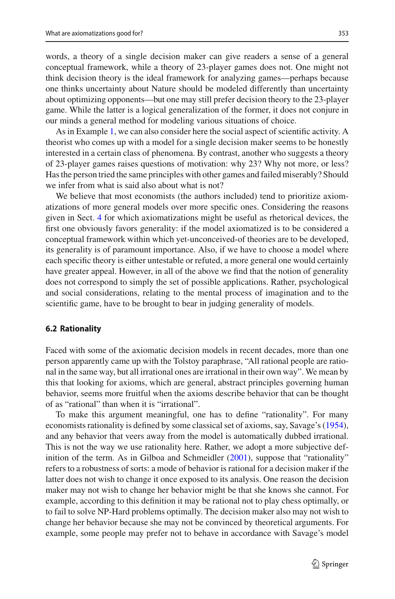words, a theory of a single decision maker can give readers a sense of a general conceptual framework, while a theory of 23-player games does not. One might not think decision theory is the ideal framework for analyzing games—perhaps because one thinks uncertainty about Nature should be modeled differently than uncertainty about optimizing opponents—but one may still prefer decision theory to the 23-player game. While the latter is a logical generalization of the former, it does not conjure in our minds a general method for modeling various situations of choice.

As in Example [1,](#page-12-0) we can also consider here the social aspect of scientific activity. A theorist who comes up with a model for a single decision maker seems to be honestly interested in a certain class of phenomena. By contrast, another who suggests a theory of 23-player games raises questions of motivation: why 23? Why not more, or less? Has the person tried the same principles with other games and failed miserably? Should we infer from what is said also about what is not?

We believe that most economists (the authors included) tend to prioritize axiomatizations of more general models over more specific ones. Considering the reasons given in Sect. [4](#page-6-0) for which axiomatizations might be useful as rhetorical devices, the first one obviously favors generality: if the model axiomatized is to be considered a conceptual framework within which yet-unconceived-of theories are to be developed, its generality is of paramount importance. Also, if we have to choose a model where each specific theory is either untestable or refuted, a more general one would certainly have greater appeal. However, in all of the above we find that the notion of generality does not correspond to simply the set of possible applications. Rather, psychological and social considerations, relating to the mental process of imagination and to the scientific game, have to be brought to bear in judging generality of models.

### **6.2 Rationality**

Faced with some of the axiomatic decision models in recent decades, more than one person apparently came up with the Tolstoy paraphrase, "All rational people are rational in the same way, but all irrational ones are irrational in their own way". We mean by this that looking for axioms, which are general, abstract principles governing human behavior, seems more fruitful when the axioms describe behavior that can be thought of as "rational" than when it is "irrational".

To make this argument meaningful, one has to define "rationality". For many economists rationality is defined by some classical set of axioms, say, Savage's [\(1954](#page-19-1)), and any behavior that veers away from the model is automatically dubbed irrational. This is not the way we use rationality here. Rather, we adopt a more subjective definition of the te[r](#page-19-28)m. As in Gilboa and Schmeidler [\(2001\)](#page-19-28), suppose that "rationality" refers to a robustness of sorts: a mode of behavior is rational for a decision maker if the latter does not wish to change it once exposed to its analysis. One reason the decision maker may not wish to change her behavior might be that she knows she cannot. For example, according to this definition it may be rational not to play chess optimally, or to fail to solve NP-Hard problems optimally. The decision maker also may not wish to change her behavior because she may not be convinced by theoretical arguments. For example, some people may prefer not to behave in accordance with Savage's model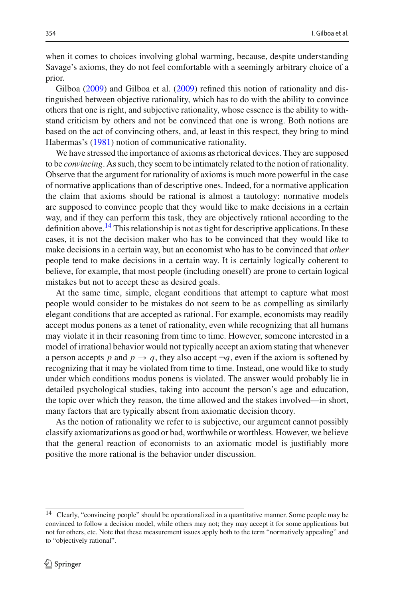when it comes to choices involving global warming, because, despite understanding Savage's axioms, they do not feel comfortable with a seemingly arbitrary choice of a prior.

Gilbo[a](#page-19-29) [\(2009\)](#page-19-29) and Gilboa et al[.](#page-19-12) [\(2009](#page-19-12)) refined this notion of rationality and distinguished between objective rationality, which has to do with the ability to convince others that one is right, and subjective rationality, whose essence is the ability to withstand criticism by others and not be convinced that one is wrong. Both notions are based on the act of convincing others, and, at least in this respect, they bring to mind Habermas's [\(1981](#page-19-30)) notion of communicative rationality.

We have stressed the importance of axioms as rhetorical devices. They are supposed to be *convincing*. As such, they seem to be intimately related to the notion of rationality. Observe that the argument for rationality of axioms is much more powerful in the case of normative applications than of descriptive ones. Indeed, for a normative application the claim that axioms should be rational is almost a tautology: normative models are supposed to convince people that they would like to make decisions in a certain way, and if they can perform this task, they are objectively rational according to the definition above.<sup>14</sup> This relationship is not as tight for descriptive applications. In these cases, it is not the decision maker who has to be convinced that they would like to make decisions in a certain way, but an economist who has to be convinced that *other* people tend to make decisions in a certain way. It is certainly logically coherent to believe, for example, that most people (including oneself) are prone to certain logical mistakes but not to accept these as desired goals.

At the same time, simple, elegant conditions that attempt to capture what most people would consider to be mistakes do not seem to be as compelling as similarly elegant conditions that are accepted as rational. For example, economists may readily accept modus ponens as a tenet of rationality, even while recognizing that all humans may violate it in their reasoning from time to time. However, someone interested in a model of irrational behavior would not typically accept an axiom stating that whenever a person accepts *p* and  $p \rightarrow q$ , they also accept  $\neg q$ , even if the axiom is softened by recognizing that it may be violated from time to time. Instead, one would like to study under which conditions modus ponens is violated. The answer would probably lie in detailed psychological studies, taking into account the person's age and education, the topic over which they reason, the time allowed and the stakes involved—in short, many factors that are typically absent from axiomatic decision theory.

As the notion of rationality we refer to is subjective, our argument cannot possibly classify axiomatizations as good or bad, worthwhile or worthless. However, we believe that the general reaction of economists to an axiomatic model is justifiably more positive the more rational is the behavior under discussion.

<span id="page-15-0"></span><sup>14</sup> Clearly, "convincing people" should be operationalized in a quantitative manner. Some people may be convinced to follow a decision model, while others may not; they may accept it for some applications but not for others, etc. Note that these measurement issues apply both to the term "normatively appealing" and to "objectively rational".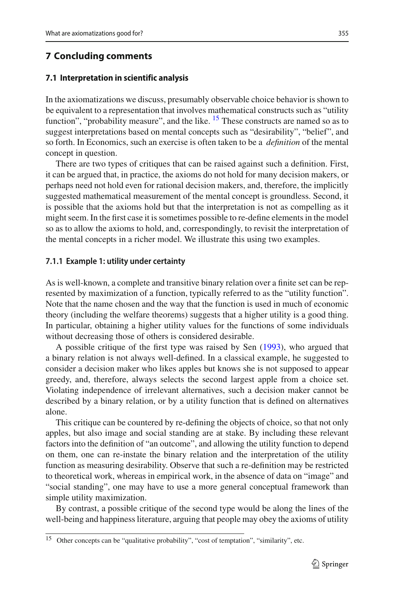### <span id="page-16-0"></span>**7 Concluding comments**

### **7.1 Interpretation in scientific analysis**

In the axiomatizations we discuss, presumably observable choice behavior is shown to be equivalent to a representation that involves mathematical constructs such as "utility function", "probability measure", and the like.  $^{15}$  $^{15}$  $^{15}$  These constructs are named so as to suggest interpretations based on mental concepts such as "desirability", "belief", and so forth. In Economics, such an exercise is often taken to be a *definition* of the mental concept in question.

There are two types of critiques that can be raised against such a definition. First, it can be argued that, in practice, the axioms do not hold for many decision makers, or perhaps need not hold even for rational decision makers, and, therefore, the implicitly suggested mathematical measurement of the mental concept is groundless. Second, it is possible that the axioms hold but that the interpretation is not as compelling as it might seem. In the first case it is sometimes possible to re-define elements in the model so as to allow the axioms to hold, and, correspondingly, to revisit the interpretation of the mental concepts in a richer model. We illustrate this using two examples.

### **7.1.1 Example 1: utility under certainty**

As is well-known, a complete and transitive binary relation over a finite set can be represented by maximization of a function, typically referred to as the "utility function". Note that the name chosen and the way that the function is used in much of economic theory (including the welfare theorems) suggests that a higher utility is a good thing. In particular, obtaining a higher utility values for the functions of some individuals without decreasing those of others is considered desirable.

A possible critique of the first type was raised by Se[n](#page-20-5) [\(1993](#page-20-5)), who argued that a binary relation is not always well-defined. In a classical example, he suggested to consider a decision maker who likes apples but knows she is not supposed to appear greedy, and, therefore, always selects the second largest apple from a choice set. Violating independence of irrelevant alternatives, such a decision maker cannot be described by a binary relation, or by a utility function that is defined on alternatives alone.

This critique can be countered by re-defining the objects of choice, so that not only apples, but also image and social standing are at stake. By including these relevant factors into the definition of "an outcome", and allowing the utility function to depend on them, one can re-instate the binary relation and the interpretation of the utility function as measuring desirability. Observe that such a re-definition may be restricted to theoretical work, whereas in empirical work, in the absence of data on "image" and "social standing", one may have to use a more general conceptual framework than simple utility maximization.

By contrast, a possible critique of the second type would be along the lines of the well-being and happiness literature, arguing that people may obey the axioms of utility

<span id="page-16-1"></span><sup>15</sup> Other concepts can be "qualitative probability", "cost of temptation", "similarity", etc.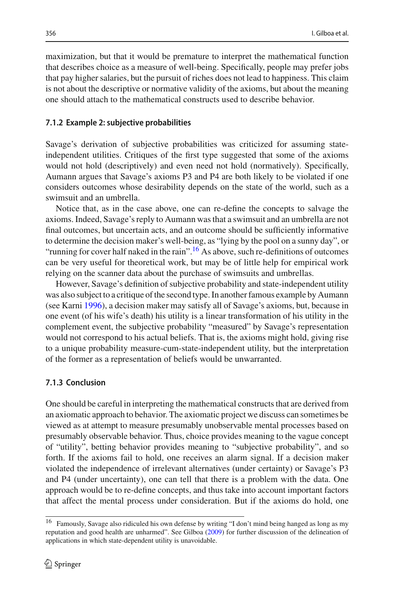maximization, but that it would be premature to interpret the mathematical function that describes choice as a measure of well-being. Specifically, people may prefer jobs that pay higher salaries, but the pursuit of riches does not lead to happiness. This claim is not about the descriptive or normative validity of the axioms, but about the meaning one should attach to the mathematical constructs used to describe behavior.

#### **7.1.2 Example 2: subjective probabilities**

Savage's derivation of subjective probabilities was criticized for assuming stateindependent utilities. Critiques of the first type suggested that some of the axioms would not hold (descriptively) and even need not hold (normatively). Specifically, Aumann argues that Savage's axioms P3 and P4 are both likely to be violated if one considers outcomes whose desirability depends on the state of the world, such as a swimsuit and an umbrella.

Notice that, as in the case above, one can re-define the concepts to salvage the axioms. Indeed, Savage's reply to Aumann was that a swimsuit and an umbrella are not final outcomes, but uncertain acts, and an outcome should be sufficiently informative to determine the decision maker's well-being, as "lying by the pool on a sunny day", or "running for cover half naked in the rain"[.16](#page-17-0) As above, such re-definitions of outcomes can be very useful for theoretical work, but may be of little help for empirical work relying on the scanner data about the purchase of swimsuits and umbrellas.

However, Savage's definition of subjective probability and state-independent utility was also subject to a critique of the second type. In another famous example by Aumann (see Karn[i](#page-19-31) [1996](#page-19-31)), a decision maker may satisfy all of Savage's axioms, but, because in one event (of his wife's death) his utility is a linear transformation of his utility in the complement event, the subjective probability "measured" by Savage's representation would not correspond to his actual beliefs. That is, the axioms might hold, giving rise to a unique probability measure-cum-state-independent utility, but the interpretation of the former as a representation of beliefs would be unwarranted.

### **7.1.3 Conclusion**

One should be careful in interpreting the mathematical constructs that are derived from an axiomatic approach to behavior. The axiomatic project we discuss can sometimes be viewed as at attempt to measure presumably unobservable mental processes based on presumably observable behavior. Thus, choice provides meaning to the vague concept of "utility", betting behavior provides meaning to "subjective probability", and so forth. If the axioms fail to hold, one receives an alarm signal. If a decision maker violated the independence of irrelevant alternatives (under certainty) or Savage's P3 and P4 (under uncertainty), one can tell that there is a problem with the data. One approach would be to re-define concepts, and thus take into account important factors that affect the mental process under consideration. But if the axioms do hold, one

<span id="page-17-0"></span><sup>16</sup> Famously, Savage also ridiculed his own defense by writing "I don't mind being hanged as long as my reputation and good health are unharmed". See Gilbo[a](#page-19-29) [\(2009\)](#page-19-29) for further discussion of the delineation of applications in which state-dependent utility is unavoidable.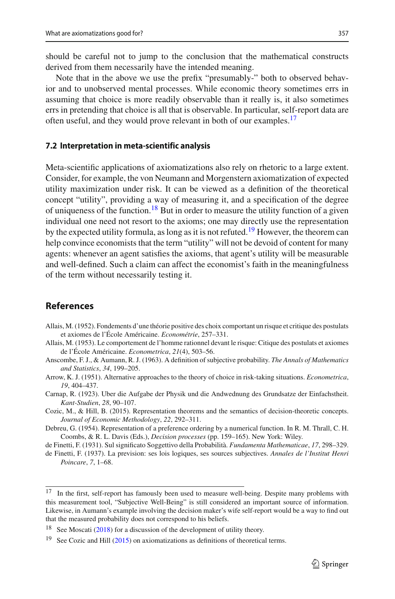should be careful not to jump to the conclusion that the mathematical constructs derived from them necessarily have the intended meaning.

Note that in the above we use the prefix "presumably-" both to observed behavior and to unobserved mental processes. While economic theory sometimes errs in assuming that choice is more readily observable than it really is, it also sometimes errs in pretending that choice is all that is observable. In particular, self-report data are often useful, and they would prove relevant in both of our examples.<sup>17</sup>

#### **7.2 Interpretation in meta-scientific analysis**

Meta-scientific applications of axiomatizations also rely on rhetoric to a large extent. Consider, for example, the von Neumann and Morgenstern axiomatization of expected utility maximization under risk. It can be viewed as a definition of the theoretical concept "utility", providing a way of measuring it, and a specification of the degree of uniqueness of the function.<sup>[18](#page-18-9)</sup> But in order to measure the utility function of a given individual one need not resort to the axioms; one may directly use the representation by the expected utility formula, as long as it is not refuted.<sup>[19](#page-18-10)</sup> However, the theorem can help convince economists that the term "utility" will not be devoid of content for many agents: whenever an agent satisfies the axioms, that agent's utility will be measurable and well-defined. Such a claim can affect the economist's faith in the meaningfulness of the term without necessarily testing it.

# **References**

- <span id="page-18-3"></span>Allais, M. (1952). Fondements d'une théorie positive des choix comportant un risque et critique des postulats et axiomes de l'École Américaine. *Econométrie*, 257–331.
- <span id="page-18-4"></span>Allais, M. (1953). Le comportement de l'homme rationnel devant le risque: Citique des postulats et axiomes de l'École Américaine. *Econometrica*, *21*(4), 503–56.
- <span id="page-18-2"></span>Anscombe, F. J., & Aumann, R. J. (1963). A definition of subjective probability. *The Annals of Mathematics and Statistics*, *34*, 199–205.
- <span id="page-18-7"></span>Arrow, K. J. (1951). Alternative approaches to the theory of choice in risk-taking situations. *Econometrica*, *19*, 404–437.
- <span id="page-18-6"></span>Carnap, R. (1923). Uber die Aufgabe der Physik und die Andwednung des Grundsatze der Einfachstheit. *Kant-Studien*, *28*, 90–107.
- <span id="page-18-11"></span>Cozic, M., & Hill, B. (2015). Representation theorems and the semantics of decision-theoretic concepts. *Journal of Economic Methodology*, *22*, 292–311.
- <span id="page-18-5"></span>Debreu, G. (1954). Representation of a preference ordering by a numerical function. In R. M. Thrall, C. H. Coombs, & R. L. Davis (Eds.), *Decision processes* (pp. 159–165). New York: Wiley.

<span id="page-18-1"></span><span id="page-18-0"></span>de Finetti, F. (1931). Sul significato Soggettivo della Probabilità. *Fundamenta Mathematicae*, *17*, 298–329. de Finetti, F. (1937). La prevision: ses lois logiques, ses sources subjectives. *Annales de l'Institut Henri Poincare*, *7*, 1–68.

<span id="page-18-8"></span><sup>&</sup>lt;sup>17</sup> In the first, self-report has famously been used to measure well-being. Despite many problems with this measurement tool, "Subjective Well-Being" is still considered an important source of information. Likewise, in Aumann's example involving the decision maker's wife self-report would be a way to find out that the measured probability does not correspond to his beliefs.

<sup>&</sup>lt;sup>18</sup> See Moscat[i](#page-19-18) ( $2018$ ) for a discussion of the development of utility theory.

<span id="page-18-10"></span><span id="page-18-9"></span>See Cozic and Hi[l](#page-18-11)l [\(2015\)](#page-18-11) on axiomatizations as definitions of theoretical terms.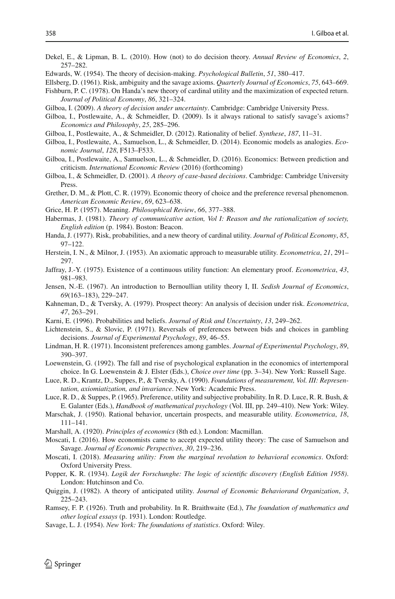- <span id="page-19-3"></span>Dekel, E., & Lipman, B. L. (2010). How (not) to do decision theory. *Annual Review of Economics*, *2*, 257–282.
- <span id="page-19-22"></span>Edwards, W. (1954). The theory of decision-making. *Psychological Bulletin*, *51*, 380–417.
- <span id="page-19-23"></span><span id="page-19-2"></span>Ellsberg, D. (1961). Risk, ambiguity and the savage axioms. *Quarterly Journal of Economics*, *75*, 643–669. Fishburn, P. C. (1978). On Handa's new theory of cardinal utility and the maximization of expected return. *Journal of Political Economy*, *86*, 321–324.
- <span id="page-19-29"></span>Gilboa, I. (2009). *A theory of decision under uncertainty*. Cambridge: Cambridge University Press.
- <span id="page-19-12"></span>Gilboa, I., Postlewaite, A., & Schmeidler, D. (2009). Is it always rational to satisfy savage's axioms? *Economics and Philosophy*, *25*, 285–296.
- <span id="page-19-13"></span>Gilboa, I., Postlewaite, A., & Schmeidler, D. (2012). Rationality of belief. *Synthese*, *187*, 11–31.
- <span id="page-19-14"></span>Gilboa, I., Postlewaite, A., Samuelson, L., & Schmeidler, D. (2014). Economic models as analogies. *Economic Journal*, *128*, F513–F533.
- <span id="page-19-15"></span>Gilboa, I., Postlewaite, A., Samuelson, L., & Schmeidler, D. (2016). Economics: Between prediction and criticism. *International Economic Review* (2016) (forthcoming)
- <span id="page-19-28"></span>Gilboa, I., & Schmeidler, D. (2001). *A theory of case-based decisions*. Cambridge: Cambridge University Press.
- <span id="page-19-21"></span>Grether, D. M., & Plott, C. R. (1979). Economic theory of choice and the preference reversal phenomenon. *American Economic Review*, *69*, 623–638.
- <span id="page-19-27"></span>Grice, H. P. (1957). Meaning. *Philosophical Review*, *66*, 377–388.
- <span id="page-19-30"></span>Habermas, J. (1981). *Theory of communicative action, Vol I: Reason and the rationalization of society, English edition* (p. 1984). Boston: Beacon.
- <span id="page-19-24"></span>Handa, J. (1977). Risk, probabilities, and a new theory of cardinal utility. *Journal of Political Economy*, *85*, 97–122.
- <span id="page-19-6"></span>Herstein, I. N., & Milnor, J. (1953). An axiomatic approach to measurable utility. *Econometrica*, *21*, 291– 297.
- <span id="page-19-5"></span>Jaffray, J.-Y. (1975). Existence of a continuous utility function: An elementary proof. *Econometrica*, *43*, 981–983.
- <span id="page-19-26"></span>Jensen, N.-E. (1967). An introduction to Bernoullian utility theory I, II. *Sedish Journal of Economics*, *69*(163–183), 229–247.
- <span id="page-19-17"></span>Kahneman, D., & Tversky, A. (1979). Prospect theory: An analysis of decision under risk. *Econometrica*, *47*, 263–291.
- <span id="page-19-31"></span>Karni, E. (1996). Probabilities and beliefs. *Journal of Risk and Uncertainty*, *13*, 249–262.
- <span id="page-19-19"></span>Lichtenstein, S., & Slovic, P. (1971). Reversals of preferences between bids and choices in gambling decisions. *Journal of Experimental Psychology*, *89*, 46–55.
- <span id="page-19-20"></span>Lindman, H. R. (1971). Inconsistent preferences among gambles. *Journal of Experimental Psychology*, *89*, 390–397.
- <span id="page-19-11"></span>Loewenstein, G. (1992). The fall and rise of psychological explanation in the economics of intertemporal choice. In G. Loewenstein & J. Elster (Eds.), *Choice over time* (pp. 3–34). New York: Russell Sage.
- <span id="page-19-4"></span>Luce, R. D., Krantz, D., Suppes, P., & Tversky, A. (1990). *Foundations of measurement, Vol. III: Representation, axiomiatization, and invariance*. New York: Academic Press.
- <span id="page-19-9"></span>Luce, R. D., & Suppes, P. (1965). Preference, utility and subjective probability. In R. D. Luce, R. R. Bush, & E. Galanter (Eds.), *Handbook of mathematical psychology* (Vol. III, pp. 249–410). New York: Wiley.
- <span id="page-19-7"></span>Marschak, J. (1950). Rational behavior, uncertain prospects, and measurable utility. *Econometrica*, *18*, 111–141.
- <span id="page-19-8"></span>Marshall, A. (1920). *Principles of economics* (8th ed.). London: Macmillan.
- <span id="page-19-16"></span>Moscati, I. (2016). How economists came to accept expected utility theory: The case of Samuelson and Savage. *Journal of Economic Perspectives*, *30*, 219–236.
- <span id="page-19-18"></span>Moscati, I. (2018). *Measuring utility: From the marginal revolution to behavioral economics*. Oxford: Oxford University Press.
- <span id="page-19-10"></span>Popper, K. R. (1934). *Logik der Forschunghe: The logic of scientific discovery (English Edition 1958)*. London: Hutchinson and Co.
- <span id="page-19-25"></span>Quiggin, J. (1982). A theory of anticipated utility. *Journal of Economic Behaviorand Organization*, *3*, 225–243.
- <span id="page-19-0"></span>Ramsey, F. P. (1926). Truth and probability. In R. Braithwaite (Ed.), *The foundation of mathematics and other logical essays* (p. 1931). London: Routledge.
- <span id="page-19-1"></span>Savage, L. J. (1954). *New York: The foundations of statistics*. Oxford: Wiley.